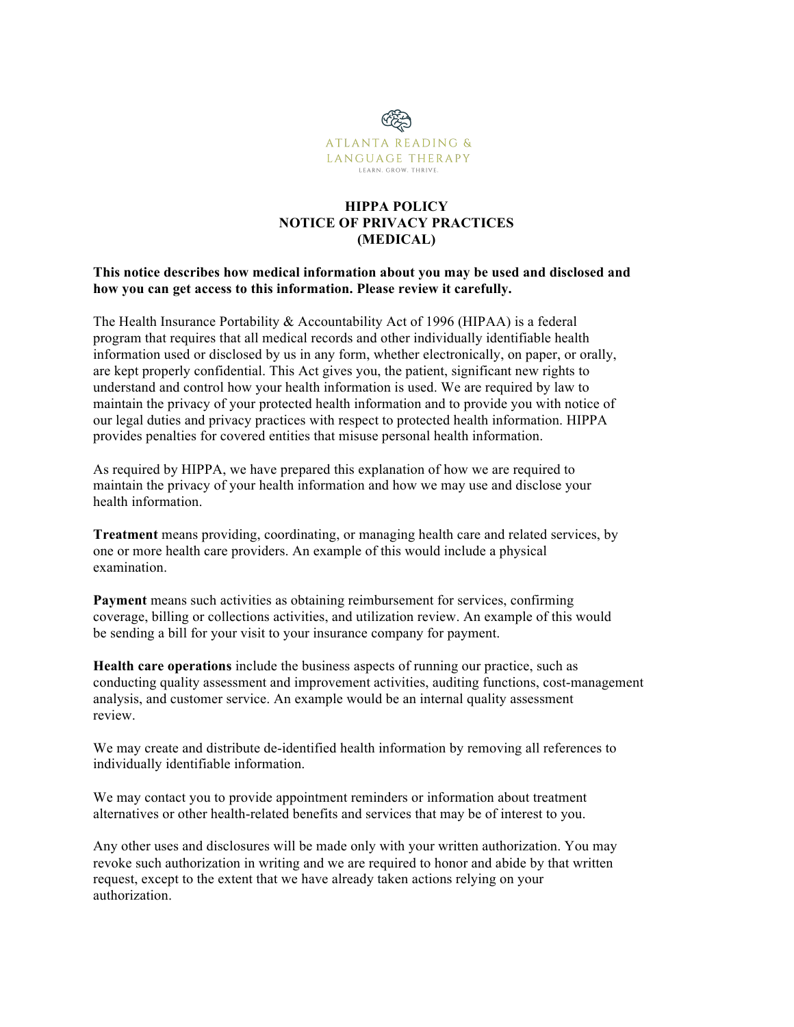

#### **HIPPA POLICY NOTICE OF PRIVACY PRACTICES (MEDICAL)**

#### **This notice describes how medical information about you may be used and disclosed and how you can get access to this information. Please review it carefully.**

The Health Insurance Portability & Accountability Act of 1996 (HIPAA) is a federal program that requires that all medical records and other individually identifiable health information used or disclosed by us in any form, whether electronically, on paper, or orally, are kept properly confidential. This Act gives you, the patient, significant new rights to understand and control how your health information is used. We are required by law to maintain the privacy of your protected health information and to provide you with notice of our legal duties and privacy practices with respect to protected health information. HIPPA provides penalties for covered entities that misuse personal health information.

As required by HIPPA, we have prepared this explanation of how we are required to maintain the privacy of your health information and how we may use and disclose your health information.

**Treatment** means providing, coordinating, or managing health care and related services, by one or more health care providers. An example of this would include a physical examination.

**Payment** means such activities as obtaining reimbursement for services, confirming coverage, billing or collections activities, and utilization review. An example of this would be sending a bill for your visit to your insurance company for payment.

**Health care operations** include the business aspects of running our practice, such as conducting quality assessment and improvement activities, auditing functions, cost-management analysis, and customer service. An example would be an internal quality assessment review.

We may create and distribute de-identified health information by removing all references to individually identifiable information.

We may contact you to provide appointment reminders or information about treatment alternatives or other health-related benefits and services that may be of interest to you.

Any other uses and disclosures will be made only with your written authorization. You may revoke such authorization in writing and we are required to honor and abide by that written request, except to the extent that we have already taken actions relying on your authorization.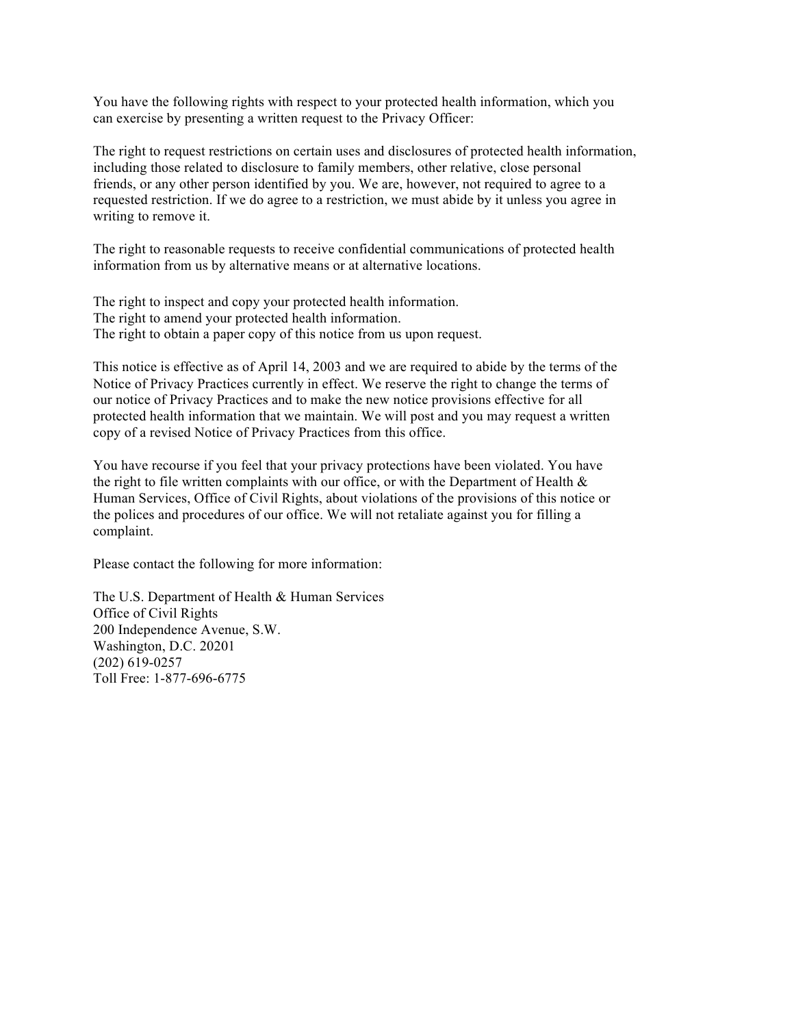You have the following rights with respect to your protected health information, which you can exercise by presenting a written request to the Privacy Officer:

The right to request restrictions on certain uses and disclosures of protected health information, including those related to disclosure to family members, other relative, close personal friends, or any other person identified by you. We are, however, not required to agree to a requested restriction. If we do agree to a restriction, we must abide by it unless you agree in writing to remove it.

The right to reasonable requests to receive confidential communications of protected health information from us by alternative means or at alternative locations.

The right to inspect and copy your protected health information. The right to amend your protected health information. The right to obtain a paper copy of this notice from us upon request.

This notice is effective as of April 14, 2003 and we are required to abide by the terms of the Notice of Privacy Practices currently in effect. We reserve the right to change the terms of our notice of Privacy Practices and to make the new notice provisions effective for all protected health information that we maintain. We will post and you may request a written copy of a revised Notice of Privacy Practices from this office.

You have recourse if you feel that your privacy protections have been violated. You have the right to file written complaints with our office, or with the Department of Health  $\&$ Human Services, Office of Civil Rights, about violations of the provisions of this notice or the polices and procedures of our office. We will not retaliate against you for filling a complaint.

Please contact the following for more information:

The U.S. Department of Health & Human Services Office of Civil Rights 200 Independence Avenue, S.W. Washington, D.C. 20201 (202) 619-0257 Toll Free: 1-877-696-6775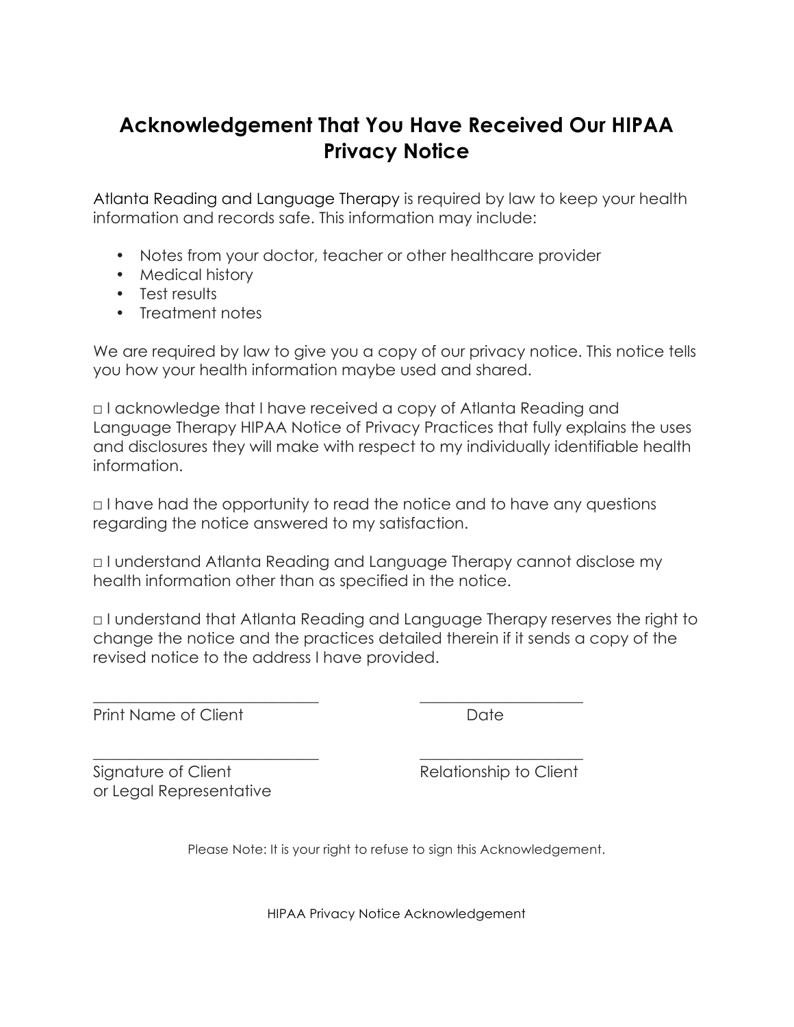## **Acknowledgement That You Have Received Our HIPAA Privacy Notice**

Atlanta Reading and Language Therapy is required by law to keep your health information and records safe. This information may include:

- Notes from your doctor, teacher or other healthcare provider
- Medical history
- Test results
- Treatment notes

We are required by law to give you a copy of our privacy notice. This notice tells you how your health information maybe used and shared.

**☐** I acknowledge that I have received a copy of Atlanta Reading and Language Therapy HIPAA Notice of Privacy Practices that fully explains the uses and disclosures they will make with respect to my individually identifiable health information.

**☐** I have had the opportunity to read the notice and to have any questions regarding the notice answered to my satisfaction.

**☐** I understand Atlanta Reading and Language Therapy cannot disclose my health information other than as specified in the notice.

\_\_\_\_\_\_\_\_\_\_\_\_\_\_\_\_\_\_\_\_\_\_\_\_\_\_\_\_\_ \_\_\_\_\_\_\_\_\_\_\_\_\_\_\_\_\_\_\_\_\_

\_\_\_\_\_\_\_\_\_\_\_\_\_\_\_\_\_\_\_\_\_\_\_\_\_\_\_\_\_ \_\_\_\_\_\_\_\_\_\_\_\_\_\_\_\_\_\_\_\_\_

**☐** I understand that Atlanta Reading and Language Therapy reserves the right to change the notice and the practices detailed therein if it sends a copy of the revised notice to the address I have provided.

Print Name of Client **Date** Date

Signature of Client **Relationship to Client** or Legal Representative

Please Note: It is your right to refuse to sign this Acknowledgement.

HIPAA Privacy Notice Acknowledgement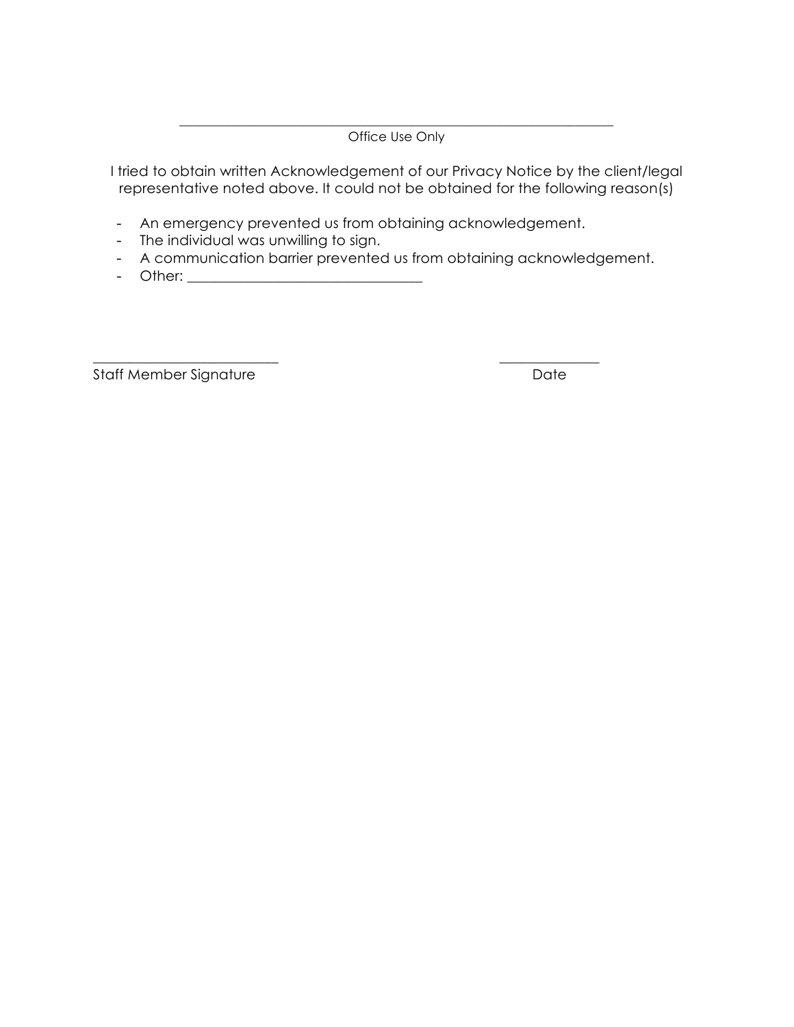#### \_\_\_\_\_\_\_\_\_\_\_\_\_\_\_\_\_\_\_\_\_\_\_\_\_\_\_\_\_\_\_\_\_\_\_\_\_\_\_\_\_\_\_\_\_\_\_\_\_\_\_\_\_\_\_\_\_\_\_\_\_\_\_\_\_\_\_ Office Use Only

I tried to obtain written Acknowledgement of our Privacy Notice by the client/legal representative noted above. It could not be obtained for the following reason(s)

- An emergency prevented us from obtaining acknowledgement.

\_\_\_\_\_\_\_\_\_\_\_\_\_\_\_\_\_\_\_\_\_\_\_\_\_\_ \_\_\_\_\_\_\_\_\_\_\_\_\_\_

- The individual was unwilling to sign.
- A communication barrier prevented us from obtaining acknowledgement.
- Other: \_\_\_\_\_\_\_\_\_\_\_\_\_\_\_\_\_\_\_\_\_\_\_\_\_\_\_\_\_\_\_\_\_

Staff Member Signature **Date** Date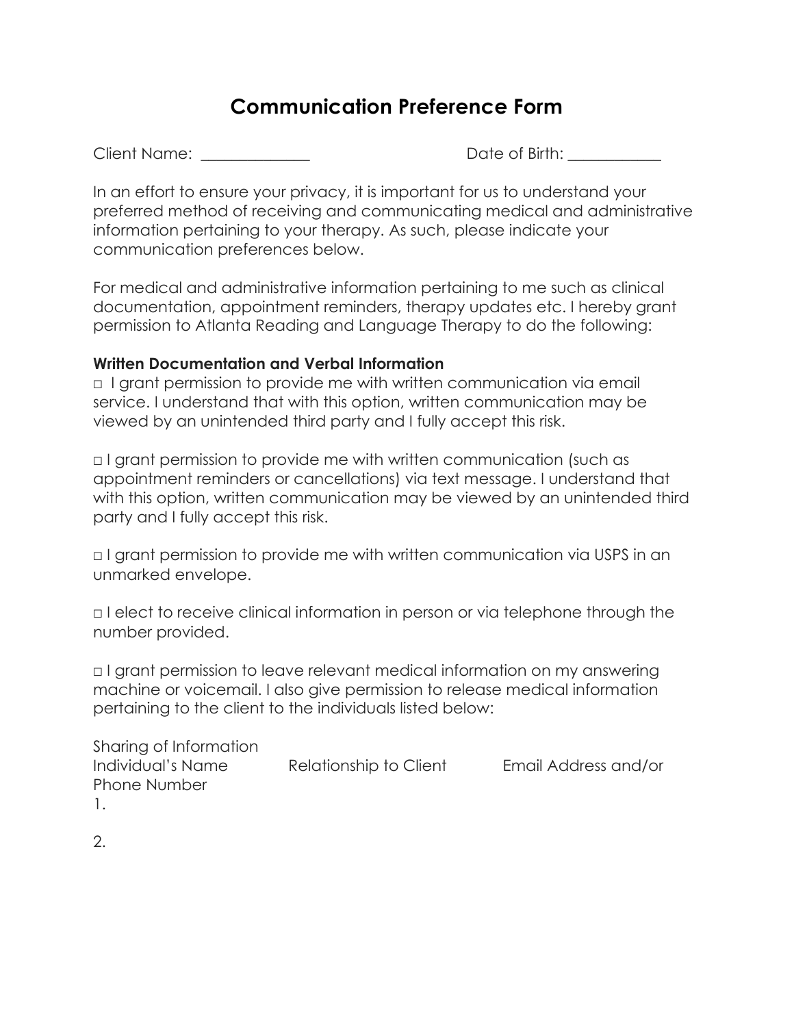## **Communication Preference Form**

Client Name:  $\Box$  Date of Birth:  $\Box$ 

In an effort to ensure your privacy, it is important for us to understand your preferred method of receiving and communicating medical and administrative information pertaining to your therapy. As such, please indicate your communication preferences below.

For medical and administrative information pertaining to me such as clinical documentation, appointment reminders, therapy updates etc. I hereby grant permission to Atlanta Reading and Language Therapy to do the following:

### **Written Documentation and Verbal Information**

**□ I grant permission to provide me with written communication via email** service. I understand that with this option, written communication may be viewed by an unintended third party and I fully accept this risk.

**☐** I grant permission to provide me with written communication (such as appointment reminders or cancellations) via text message. I understand that with this option, written communication may be viewed by an unintended third party and I fully accept this risk.

**☐** I grant permission to provide me with written communication via USPS in an unmarked envelope.

**☐** I elect to receive clinical information in person or via telephone through the number provided.

**☐** I grant permission to leave relevant medical information on my answering machine or voicemail. I also give permission to release medical information pertaining to the client to the individuals listed below:

| Sharing of Information |                        |                      |
|------------------------|------------------------|----------------------|
| Individual's Name      | Relationship to Client | Email Address and/or |
| Phone Number           |                        |                      |
|                        |                        |                      |

2.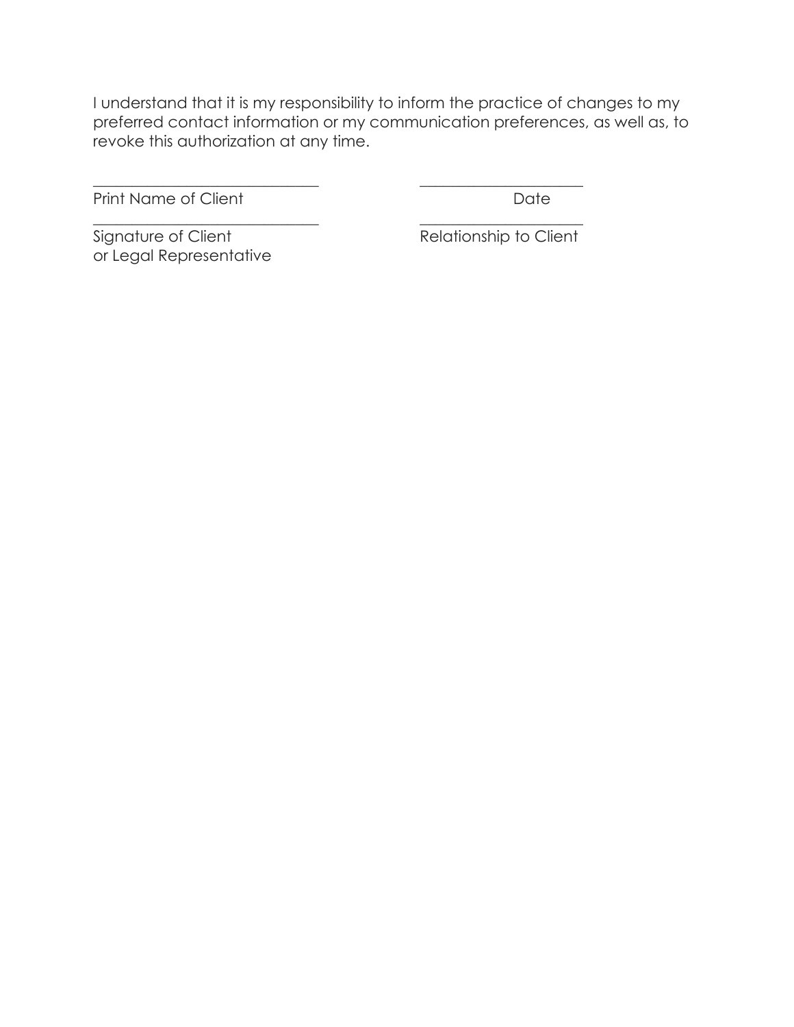I understand that it is my responsibility to inform the practice of changes to my preferred contact information or my communication preferences, as well as, to revoke this authorization at any time.

\_\_\_\_\_\_\_\_\_\_\_\_\_\_\_\_\_\_\_\_\_\_\_\_\_\_\_\_\_ \_\_\_\_\_\_\_\_\_\_\_\_\_\_\_\_\_\_\_\_\_

\_\_\_\_\_\_\_\_\_\_\_\_\_\_\_\_\_\_\_\_\_\_\_\_\_\_\_\_\_ \_\_\_\_\_\_\_\_\_\_\_\_\_\_\_\_\_\_\_\_\_

Print Name of Client **Date** Date

Signature of Client **Relationship to Client** or Legal Representative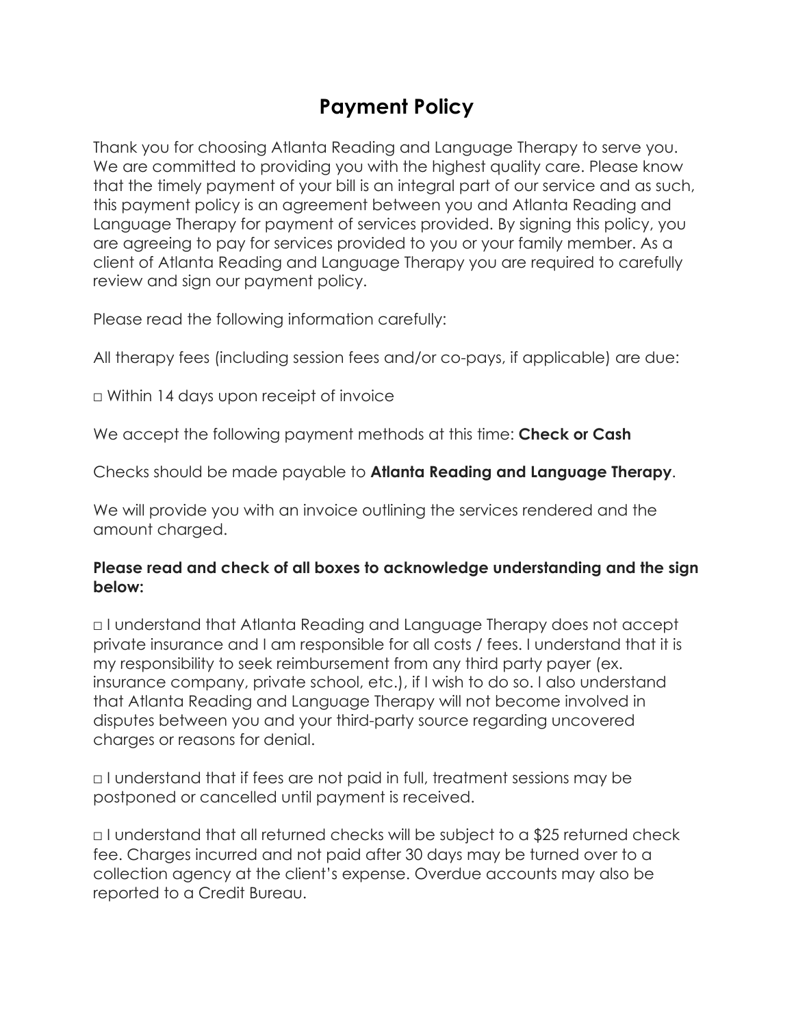## **Payment Policy**

Thank you for choosing Atlanta Reading and Language Therapy to serve you. We are committed to providing you with the highest quality care. Please know that the timely payment of your bill is an integral part of our service and as such, this payment policy is an agreement between you and Atlanta Reading and Language Therapy for payment of services provided. By signing this policy, you are agreeing to pay for services provided to you or your family member. As a client of Atlanta Reading and Language Therapy you are required to carefully review and sign our payment policy.

Please read the following information carefully:

All therapy fees (including session fees and/or co-pays, if applicable) are due:

**☐** Within 14 days upon receipt of invoice

We accept the following payment methods at this time: **Check or Cash**

Checks should be made payable to **Atlanta Reading and Language Therapy**.

We will provide you with an invoice outlining the services rendered and the amount charged.

#### **Please read and check of all boxes to acknowledge understanding and the sign below:**

**☐** I understand that Atlanta Reading and Language Therapy does not accept private insurance and I am responsible for all costs / fees. I understand that it is my responsibility to seek reimbursement from any third party payer (ex. insurance company, private school, etc.), if I wish to do so. I also understand that Atlanta Reading and Language Therapy will not become involved in disputes between you and your third-party source regarding uncovered charges or reasons for denial.

**☐** I understand that if fees are not paid in full, treatment sessions may be postponed or cancelled until payment is received.

**☐** I understand that all returned checks will be subject to a \$25 returned check fee. Charges incurred and not paid after 30 days may be turned over to a collection agency at the client's expense. Overdue accounts may also be reported to a Credit Bureau.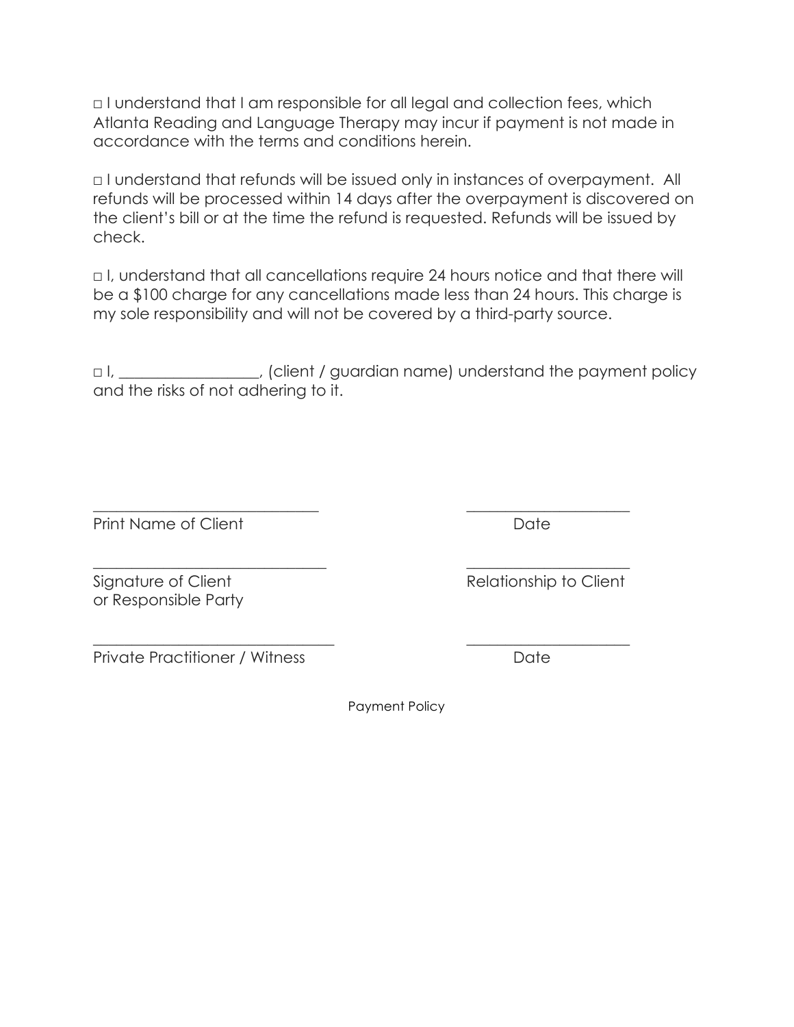**☐** I understand that I am responsible for all legal and collection fees, which Atlanta Reading and Language Therapy may incur if payment is not made in accordance with the terms and conditions herein.

**☐** I understand that refunds will be issued only in instances of overpayment. All refunds will be processed within 14 days after the overpayment is discovered on the client's bill or at the time the refund is requested. Refunds will be issued by check.

**☐** I, understand that all cancellations require 24 hours notice and that there will be a \$100 charge for any cancellations made less than 24 hours. This charge is my sole responsibility and will not be covered by a third-party source.

**☐** I, \_\_\_\_\_\_\_\_\_\_\_\_\_\_\_\_\_\_, (client / guardian name) understand the payment policy and the risks of not adhering to it.

\_\_\_\_\_\_\_\_\_\_\_\_\_\_\_\_\_\_\_\_\_\_\_\_\_\_\_\_\_ \_\_\_\_\_\_\_\_\_\_\_\_\_\_\_\_\_\_\_\_\_ Print Name of Client **Date** Date

\_\_\_\_\_\_\_\_\_\_\_\_\_\_\_\_\_\_\_\_\_\_\_\_\_\_\_\_\_\_ \_\_\_\_\_\_\_\_\_\_\_\_\_\_\_\_\_\_\_\_\_ or Responsible Party

Signature of Client **Relationship to Client** Relationship to Client

\_\_\_\_\_\_\_\_\_\_\_\_\_\_\_\_\_\_\_\_\_\_\_\_\_\_\_\_\_\_\_ \_\_\_\_\_\_\_\_\_\_\_\_\_\_\_\_\_\_\_\_\_ Private Practitioner / Witness **Date** Date

Payment Policy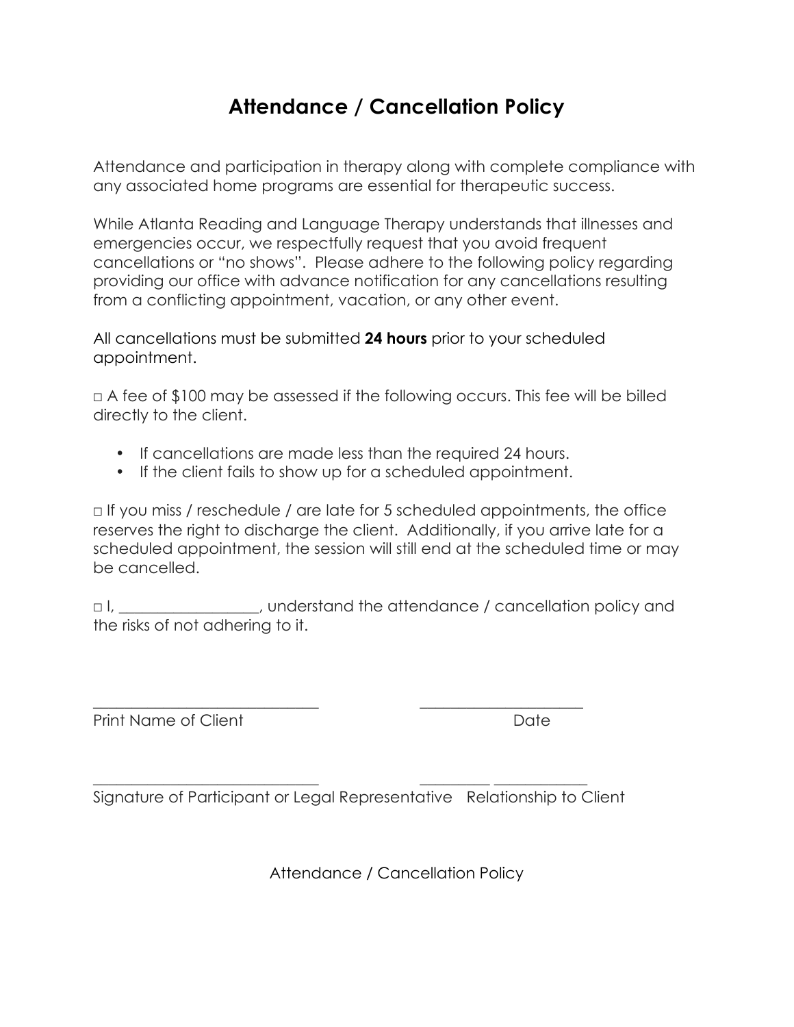## **Attendance / Cancellation Policy**

Attendance and participation in therapy along with complete compliance with any associated home programs are essential for therapeutic success.

While Atlanta Reading and Language Therapy understands that illnesses and emergencies occur, we respectfully request that you avoid frequent cancellations or "no shows". Please adhere to the following policy regarding providing our office with advance notification for any cancellations resulting from a conflicting appointment, vacation, or any other event.

All cancellations must be submitted **24 hours** prior to your scheduled appointment.

**☐** A fee of \$100 may be assessed if the following occurs. This fee will be billed directly to the client.

- If cancellations are made less than the required 24 hours.
- If the client fails to show up for a scheduled appointment.

**☐** If you miss / reschedule / are late for 5 scheduled appointments, the office reserves the right to discharge the client. Additionally, if you arrive late for a scheduled appointment, the session will still end at the scheduled time or may be cancelled.

**☐** I, \_\_\_\_\_\_\_\_\_\_\_\_\_\_\_\_\_\_, understand the attendance / cancellation policy and the risks of not adhering to it.

Print Name of Client **Date** Date

\_\_\_\_\_\_\_\_\_\_\_\_\_\_\_\_\_\_\_\_\_\_\_\_\_\_\_\_\_ \_\_\_\_\_\_\_\_\_ \_\_\_\_\_\_\_\_\_\_\_\_ Signature of Participant or Legal Representative Relationship to Client

\_\_\_\_\_\_\_\_\_\_\_\_\_\_\_\_\_\_\_\_\_\_\_\_\_\_\_\_\_ \_\_\_\_\_\_\_\_\_\_\_\_\_\_\_\_\_\_\_\_\_

Attendance / Cancellation Policy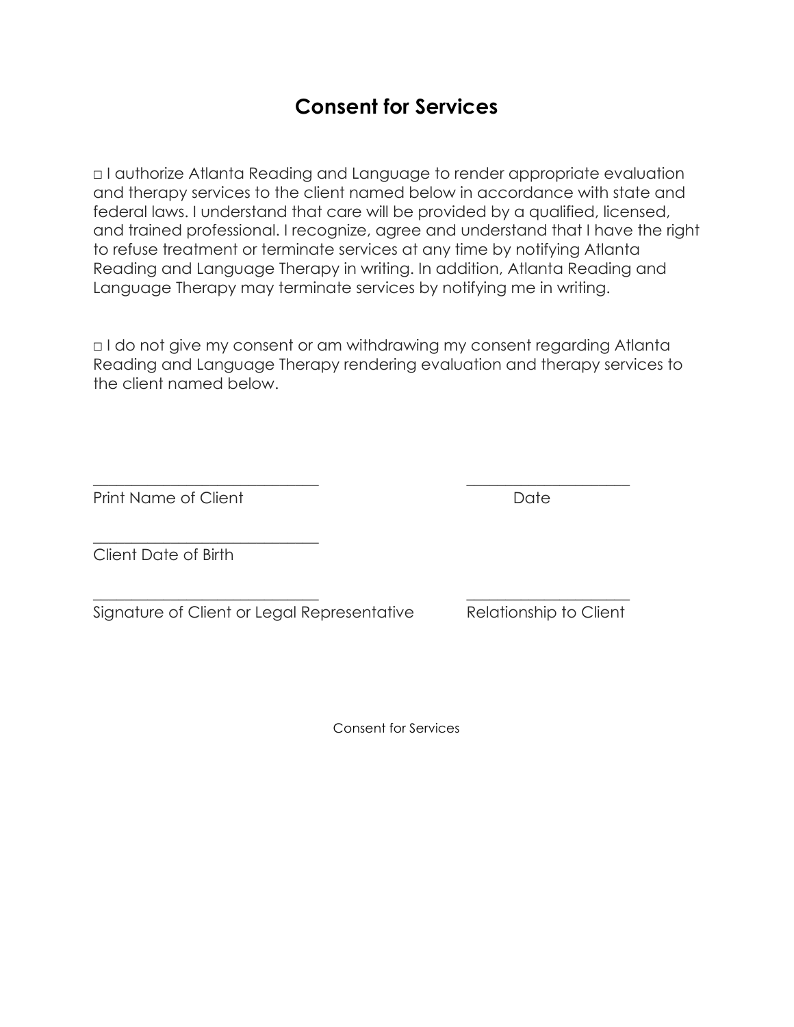### **Consent for Services**

**☐** I authorize Atlanta Reading and Language to render appropriate evaluation and therapy services to the client named below in accordance with state and federal laws. I understand that care will be provided by a qualified, licensed, and trained professional. I recognize, agree and understand that I have the right to refuse treatment or terminate services at any time by notifying Atlanta Reading and Language Therapy in writing. In addition, Atlanta Reading and Language Therapy may terminate services by notifying me in writing.

**☐** I do not give my consent or am withdrawing my consent regarding Atlanta Reading and Language Therapy rendering evaluation and therapy services to the client named below.

\_\_\_\_\_\_\_\_\_\_\_\_\_\_\_\_\_\_\_\_\_\_\_\_\_\_\_\_\_ \_\_\_\_\_\_\_\_\_\_\_\_\_\_\_\_\_\_\_\_\_

Print Name of Client **Date** Date Date

\_\_\_\_\_\_\_\_\_\_\_\_\_\_\_\_\_\_\_\_\_\_\_\_\_\_\_\_\_ Client Date of Birth

\_\_\_\_\_\_\_\_\_\_\_\_\_\_\_\_\_\_\_\_\_\_\_\_\_\_\_\_\_ \_\_\_\_\_\_\_\_\_\_\_\_\_\_\_\_\_\_\_\_\_ Signature of Client or Legal Representative Relationship to Client

Consent for Services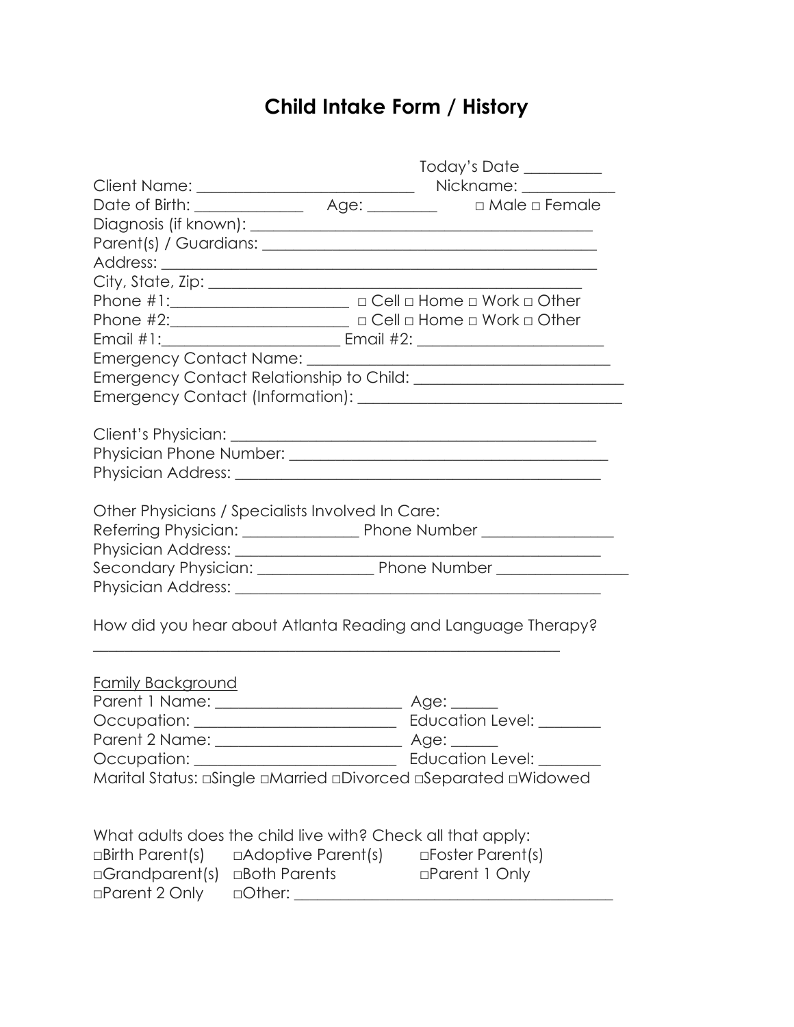# **Child Intake Form / History**

|                                                              | Today's Date _________         |
|--------------------------------------------------------------|--------------------------------|
|                                                              |                                |
|                                                              |                                |
|                                                              |                                |
|                                                              |                                |
|                                                              |                                |
|                                                              |                                |
|                                                              |                                |
|                                                              |                                |
|                                                              |                                |
|                                                              |                                |
|                                                              |                                |
|                                                              |                                |
|                                                              |                                |
| Other Physicians / Specialists Involved In Care:             |                                |
|                                                              |                                |
|                                                              |                                |
|                                                              |                                |
|                                                              |                                |
| How did you hear about Atlanta Reading and Language Therapy? |                                |
| Family Background                                            |                                |
| $D = 1$                                                      | $\lambda$ $\sim$ $\sim$ $\sim$ |

| Parent 1 Name: _______________                                                                                 | Age: ______      |
|----------------------------------------------------------------------------------------------------------------|------------------|
| Occupation: Decomposition of the state of the state of the state of the state of the state of the state of the | Education Level: |
| Parent 2 Name:                                                                                                 | Age: _____       |
| Occupation: <b>comparison</b>                                                                                  | Education Level: |
| Marital Status: a Single a Married a Divorced a Separated a Widowed                                            |                  |

| What adults does the child live with? Check all that apply: |                                                  |                            |  |  |
|-------------------------------------------------------------|--------------------------------------------------|----------------------------|--|--|
|                                                             | $\Box$ Birth Parent(s) $\Box$ Adoptive Parent(s) | $\square$ Foster Parent(s) |  |  |
| $\Box$ Grandparent(s) $\Box$ Both Parents                   |                                                  | $\Box$ Parent 1 Only       |  |  |
| $\Box$ Parent 2 Only $\Box$ Other:                          |                                                  |                            |  |  |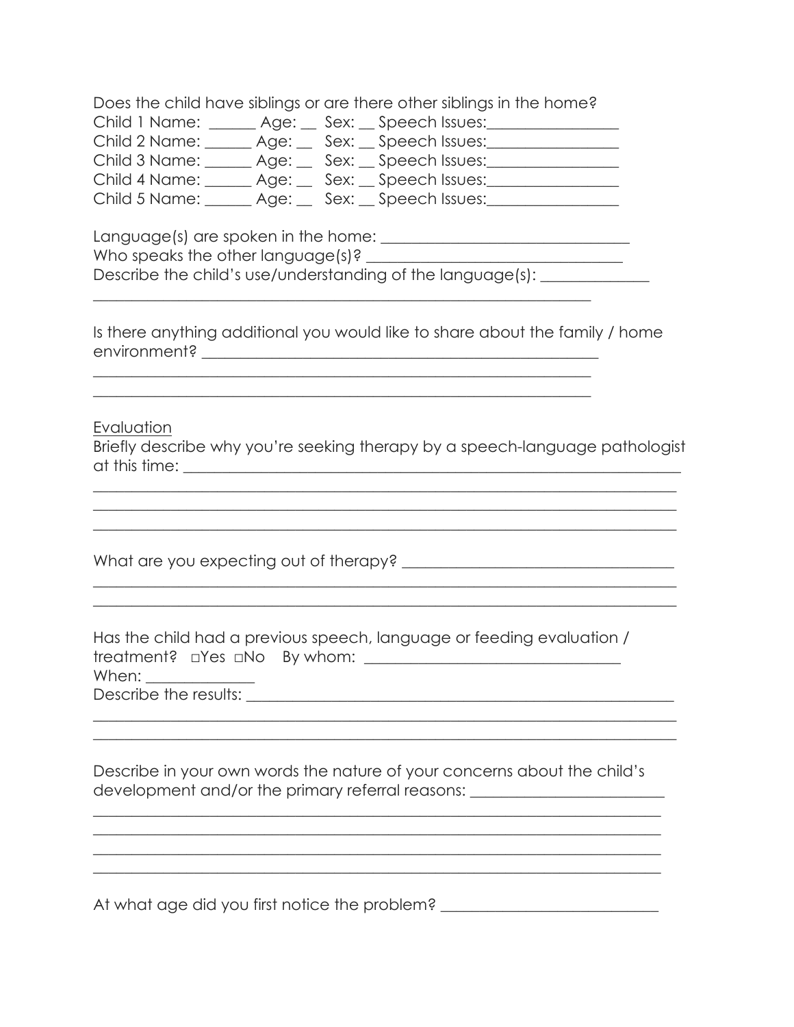|               |                                 |  | Does the child have siblings or are there other siblings in the home? |
|---------------|---------------------------------|--|-----------------------------------------------------------------------|
| Child 1 Name: | Age: __ Sex: __ Speech Issues:_ |  |                                                                       |

|               | $\overline{1}$                  |
|---------------|---------------------------------|
| Child 2 Name: | Age: __ Sex: __ Speech lssues:_ |
| Child 3 Name: | Age: __ Sex: __ Speech lssues:_ |
| Child 4 Name: | Age: __ Sex: __ Speech Issues:_ |
|               |                                 |

Child 5 Name: \_\_\_\_\_\_ Age: \_\_ Sex: \_\_ Speech Issues: \_\_\_\_\_\_\_\_\_\_\_\_\_\_\_\_\_\_\_\_\_\_\_\_\_\_\_\_

Language(s) are spoken in the home: \_\_\_\_\_\_\_\_\_\_\_\_\_\_\_\_\_\_\_\_\_\_\_\_\_\_\_\_\_\_\_\_

Who speaks the other language(s)? \_\_\_\_\_\_\_\_\_\_\_\_\_\_\_\_\_\_\_\_\_\_\_\_\_\_\_\_\_\_\_\_\_

| Describe the child's use/understanding of the language(s): |  |  |  |
|------------------------------------------------------------|--|--|--|
|------------------------------------------------------------|--|--|--|

\_\_\_\_\_\_\_\_\_\_\_\_\_\_\_\_\_\_\_\_\_\_\_\_\_\_\_\_\_\_\_\_\_\_\_\_\_\_\_\_\_\_\_\_\_\_\_\_\_\_\_\_\_\_\_\_\_\_\_\_\_\_\_\_

\_\_\_\_\_\_\_\_\_\_\_\_\_\_\_\_\_\_\_\_\_\_\_\_\_\_\_\_\_\_\_\_\_\_\_\_\_\_\_\_\_\_\_\_\_\_\_\_\_\_\_\_\_\_\_\_\_\_\_\_\_\_\_\_

Is there anything additional you would like to share about the family / home environment? \_\_\_\_\_\_\_\_\_\_\_\_\_\_\_\_\_\_\_\_\_\_\_\_\_\_\_\_\_\_\_\_\_\_\_\_\_\_\_\_\_\_\_\_\_\_\_\_\_\_\_

**Evaluation** 

Briefly describe why you're seeking therapy by a speech-language pathologist at this time: \_\_\_\_\_\_\_\_\_\_\_\_\_\_\_\_\_\_\_\_\_\_\_\_\_\_\_\_\_\_\_\_\_\_\_\_\_\_\_\_\_\_\_\_\_\_\_\_\_\_\_\_\_\_\_\_\_\_\_\_\_\_\_\_

\_\_\_\_\_\_\_\_\_\_\_\_\_\_\_\_\_\_\_\_\_\_\_\_\_\_\_\_\_\_\_\_\_\_\_\_\_\_\_\_\_\_\_\_\_\_\_\_\_\_\_\_\_\_\_\_\_\_\_\_\_\_\_\_\_\_\_\_\_\_\_\_\_\_\_ \_\_\_\_\_\_\_\_\_\_\_\_\_\_\_\_\_\_\_\_\_\_\_\_\_\_\_\_\_\_\_\_\_\_\_\_\_\_\_\_\_\_\_\_\_\_\_\_\_\_\_\_\_\_\_\_\_\_\_\_\_\_\_\_\_\_\_\_\_\_\_\_\_\_\_

 $\mathcal{L}_\text{max}$  and  $\mathcal{L}_\text{max}$  and  $\mathcal{L}_\text{max}$  and  $\mathcal{L}_\text{max}$  and  $\mathcal{L}_\text{max}$  and  $\mathcal{L}_\text{max}$ \_\_\_\_\_\_\_\_\_\_\_\_\_\_\_\_\_\_\_\_\_\_\_\_\_\_\_\_\_\_\_\_\_\_\_\_\_\_\_\_\_\_\_\_\_\_\_\_\_\_\_\_\_\_\_\_\_\_\_\_\_\_\_\_\_\_\_\_\_\_\_\_\_\_\_

What are you expecting out of therapy? \_\_\_\_\_\_\_\_\_\_\_\_\_\_\_\_\_\_\_\_\_\_\_\_\_\_\_\_\_\_\_\_\_\_\_

Has the child had a previous speech, language or feeding evaluation / treatment? **☐**Yes **☐**No By whom: \_\_\_\_\_\_\_\_\_\_\_\_\_\_\_\_\_\_\_\_\_\_\_\_\_\_\_\_\_\_\_\_\_ When:

Describe the results:  $\Box$ 

Describe in your own words the nature of your concerns about the child's development and/or the primary referral reasons: \_\_\_\_\_\_\_\_\_\_\_\_\_\_\_\_\_\_\_\_\_\_\_\_\_\_\_\_\_\_\_

 $\_$  , and the set of the set of the set of the set of the set of the set of the set of the set of the set of the set of the set of the set of the set of the set of the set of the set of the set of the set of the set of th  $\_$  , and the set of the set of the set of the set of the set of the set of the set of the set of the set of the set of the set of the set of the set of the set of the set of the set of the set of the set of the set of th  $\_$  , and the set of the set of the set of the set of the set of the set of the set of the set of the set of the set of the set of the set of the set of the set of the set of the set of the set of the set of the set of th  $\_$  , and the set of the set of the set of the set of the set of the set of the set of the set of the set of the set of the set of the set of the set of the set of the set of the set of the set of the set of the set of th

\_\_\_\_\_\_\_\_\_\_\_\_\_\_\_\_\_\_\_\_\_\_\_\_\_\_\_\_\_\_\_\_\_\_\_\_\_\_\_\_\_\_\_\_\_\_\_\_\_\_\_\_\_\_\_\_\_\_\_\_\_\_\_\_\_\_\_\_\_\_\_\_\_\_\_ \_\_\_\_\_\_\_\_\_\_\_\_\_\_\_\_\_\_\_\_\_\_\_\_\_\_\_\_\_\_\_\_\_\_\_\_\_\_\_\_\_\_\_\_\_\_\_\_\_\_\_\_\_\_\_\_\_\_\_\_\_\_\_\_\_\_\_\_\_\_\_\_\_\_\_

At what age did you first notice the problem? \_\_\_\_\_\_\_\_\_\_\_\_\_\_\_\_\_\_\_\_\_\_\_\_\_\_\_\_\_\_\_\_\_\_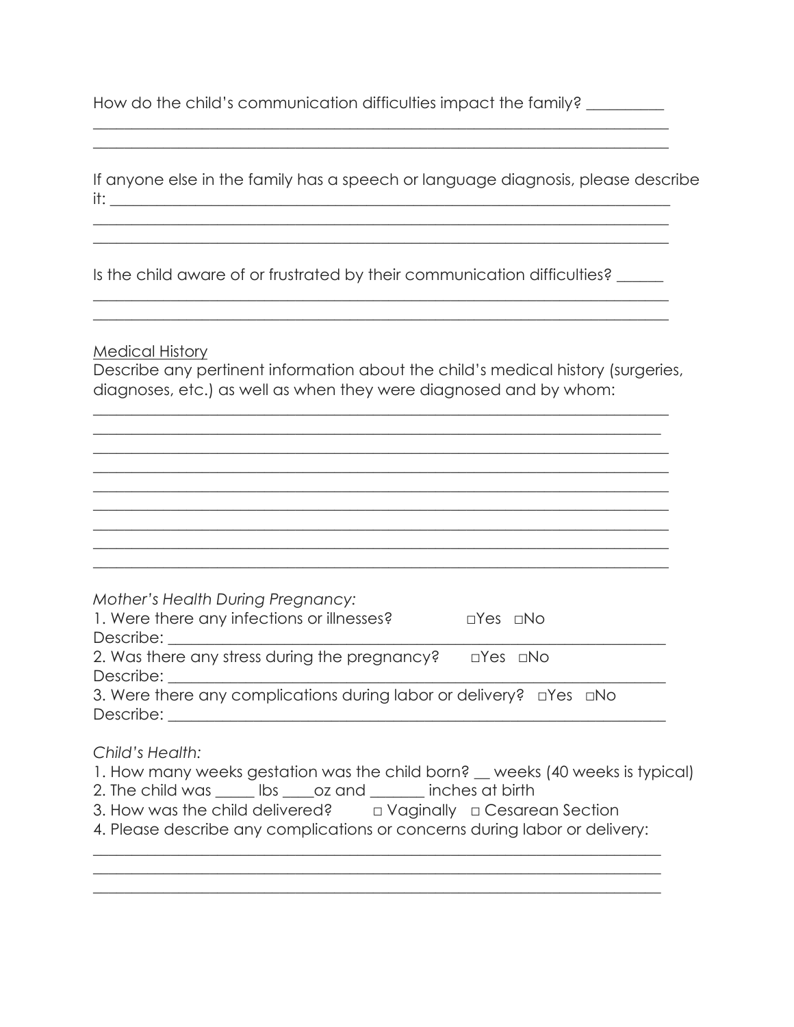How do the child's communication difficulties impact the family?

If anyone else in the family has a speech or language diagnosis, please describe it: <u>Alexander Alexander and Alexander and Alexander and Alexander and Alexander and Alexander and Alexander and</u>

<u> 1989 - Johann Stoff, deutscher Stoff, der Stoff, der Stoff, der Stoff, der Stoff, der Stoff, der Stoff, der S</u>

Is the child aware of or frustrated by their communication difficulties?

Medical History

Describe any pertinent information about the child's medical history (surgeries, diagnoses, etc.) as well as when they were diagnosed and by whom:

<u> 1989 - Andrea Station Barbara, actor a component de la componentación de la componentación de la componentaci</u>

<u> 1989 - Johann Stoff, deutscher Stoff, der Stoff, der Stoff, der Stoff, der Stoff, der Stoff, der Stoff, der S</u>

| Mother's Health During Pregnancy:                                        |              |
|--------------------------------------------------------------------------|--------------|
| 1. Were there any infections or illnesses?                               | $nYes$ $nNo$ |
| Describe: <u>Describe</u> :                                              |              |
| 2. Was there any stress during the pregnancy? $\square$ Yes $\square$ No |              |
| Describe:                                                                |              |
| 3. Were there any complications during labor or delivery? □ Yes □ No     |              |
| Describe:                                                                |              |
|                                                                          |              |

#### Child's Health:

1. How many weeks gestation was the child born? weeks (40 weeks is typical)

- 2. The child was \_\_\_\_\_\_ lbs \_\_\_\_\_oz and \_\_\_\_\_\_\_ inches at birth
- 3. How was the child delivered?  $\Box$  Vaginally  $\Box$  Cesarean Section
- 4. Please describe any complications or concerns during labor or delivery: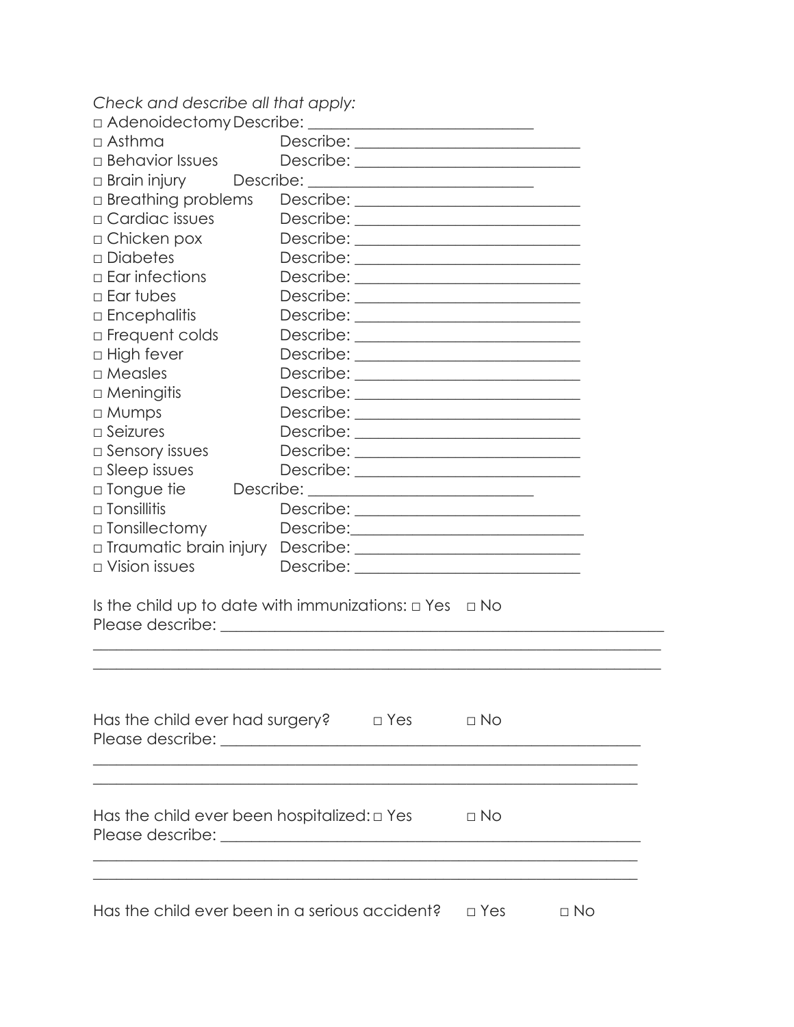| Check and describe all that apply:                                       |  |  |  |                                                                                                                                                                                                                                      |  |
|--------------------------------------------------------------------------|--|--|--|--------------------------------------------------------------------------------------------------------------------------------------------------------------------------------------------------------------------------------------|--|
|                                                                          |  |  |  |                                                                                                                                                                                                                                      |  |
| $\Box$ Asthma                                                            |  |  |  |                                                                                                                                                                                                                                      |  |
| Describe: 1991 March 2016 1991 March 2016: Nescribe: 1991 March 2016     |  |  |  |                                                                                                                                                                                                                                      |  |
| □ Brain injury Describe: <u>National Brain in the Brain in the Brain</u> |  |  |  |                                                                                                                                                                                                                                      |  |
|                                                                          |  |  |  |                                                                                                                                                                                                                                      |  |
| $\Box$ Cardiac issues                                                    |  |  |  |                                                                                                                                                                                                                                      |  |
| □ Chicken pox                                                            |  |  |  |                                                                                                                                                                                                                                      |  |
| $\Box$ Diabetes                                                          |  |  |  |                                                                                                                                                                                                                                      |  |
| $\Box$ Ear infections                                                    |  |  |  |                                                                                                                                                                                                                                      |  |
| $\Box$ Ear tubes                                                         |  |  |  |                                                                                                                                                                                                                                      |  |
| $\Box$ Encephalitis                                                      |  |  |  |                                                                                                                                                                                                                                      |  |
| $\square$ Frequent colds                                                 |  |  |  |                                                                                                                                                                                                                                      |  |
| $\Box$ High fever                                                        |  |  |  |                                                                                                                                                                                                                                      |  |
| $\Box$ Measles                                                           |  |  |  |                                                                                                                                                                                                                                      |  |
| $\Box$ Meningitis                                                        |  |  |  |                                                                                                                                                                                                                                      |  |
| $\Box$ Mumps                                                             |  |  |  |                                                                                                                                                                                                                                      |  |
| $\square$ Seizures                                                       |  |  |  |                                                                                                                                                                                                                                      |  |
| $\square$ Sensory issues                                                 |  |  |  |                                                                                                                                                                                                                                      |  |
| $\square$ Sleep issues                                                   |  |  |  |                                                                                                                                                                                                                                      |  |
|                                                                          |  |  |  |                                                                                                                                                                                                                                      |  |
| $\Box$ Tonsillitis                                                       |  |  |  |                                                                                                                                                                                                                                      |  |
| $\Box$ Tonsillectomy                                                     |  |  |  | Describe: <u>contract and the set of the set of the set of the set of the set of the set of the set of the set of the set of the set of the set of the set of the set of the set of the set of the set of the set of the set of </u> |  |
|                                                                          |  |  |  |                                                                                                                                                                                                                                      |  |
| $\Box$ Vision issues                                                     |  |  |  |                                                                                                                                                                                                                                      |  |
| Is the child up to date with immunizations: $\Box$ Yes $\Box$ No         |  |  |  |                                                                                                                                                                                                                                      |  |
| Has the child ever had surgery? $\Box$ Yes $\Box$ No                     |  |  |  |                                                                                                                                                                                                                                      |  |
| Has the child ever been hospitalized: $\square$ Yes $\square$ No         |  |  |  |                                                                                                                                                                                                                                      |  |
|                                                                          |  |  |  |                                                                                                                                                                                                                                      |  |

Has the child ever been in a serious accident? **☐** Yes **☐** No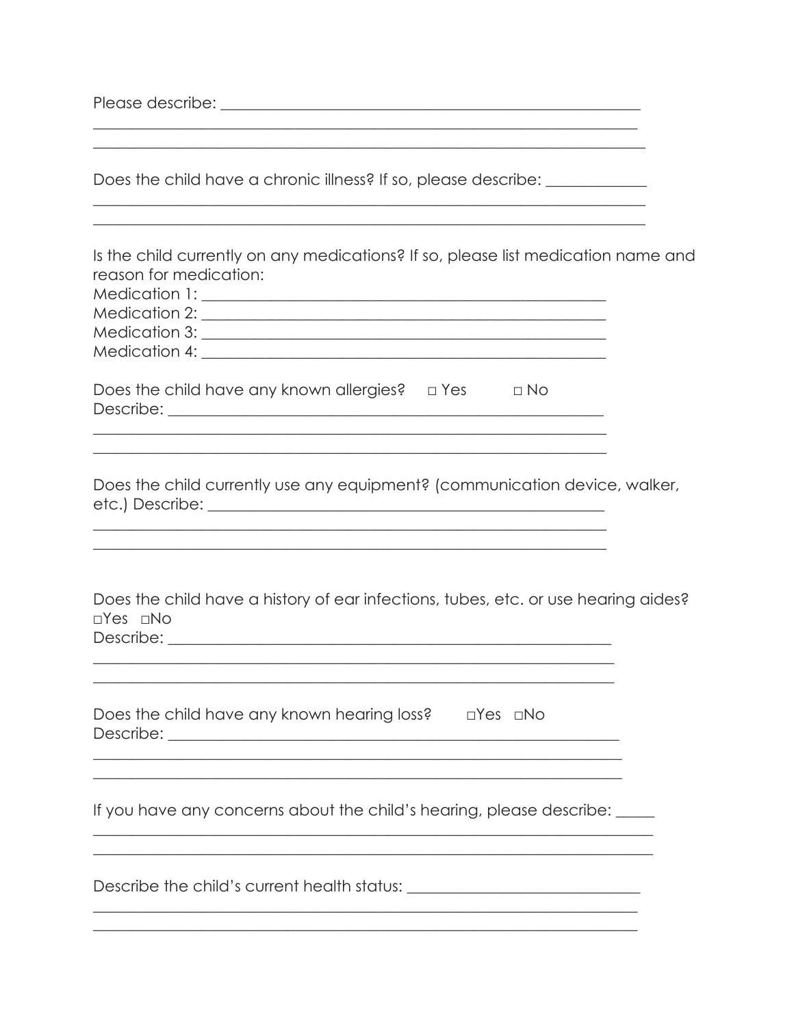Does the child have a chronic illness? If so, please describe: \_\_\_\_\_\_\_\_\_\_\_

<u>and a strong to</u>

| Is the child currently on any medications? If so, please list medication name and<br>reason for medication:<br>Medication 4: the contraction of the contraction of the contraction of the contraction of the contraction of the contraction of the contraction of the contraction of the contraction of the contraction of the contraction of |  |
|-----------------------------------------------------------------------------------------------------------------------------------------------------------------------------------------------------------------------------------------------------------------------------------------------------------------------------------------------|--|
| Does the child have any known allergies? $\Box$ Yes $\Box$ No                                                                                                                                                                                                                                                                                 |  |
| Does the child currently use any equipment? (communication device, walker,<br><u> 1989 - Johann Stoff, amerikansk politiker (d. 1989)</u>                                                                                                                                                                                                     |  |
| Does the child have a history of ear infections, tubes, etc. or use hearing aides?<br>$\Box$ Yes $\Box$ No                                                                                                                                                                                                                                    |  |
| and the control of the control of the control of the control of the control of the control of the control of the<br>Does the child have any known hearing loss? $\square$ Yes $\square$ No<br><u> 1989 - Johann Harry Communication (b. 1989)</u>                                                                                             |  |
| If you have any concerns about the child's hearing, please describe: _____                                                                                                                                                                                                                                                                    |  |
| Describe the child's current health status:                                                                                                                                                                                                                                                                                                   |  |

<u> 1989 - Johann John Stein, marwolaeth a bhannaich an t-Albann an t-Albann an t-Albann an t-Albann an t-Albann </u>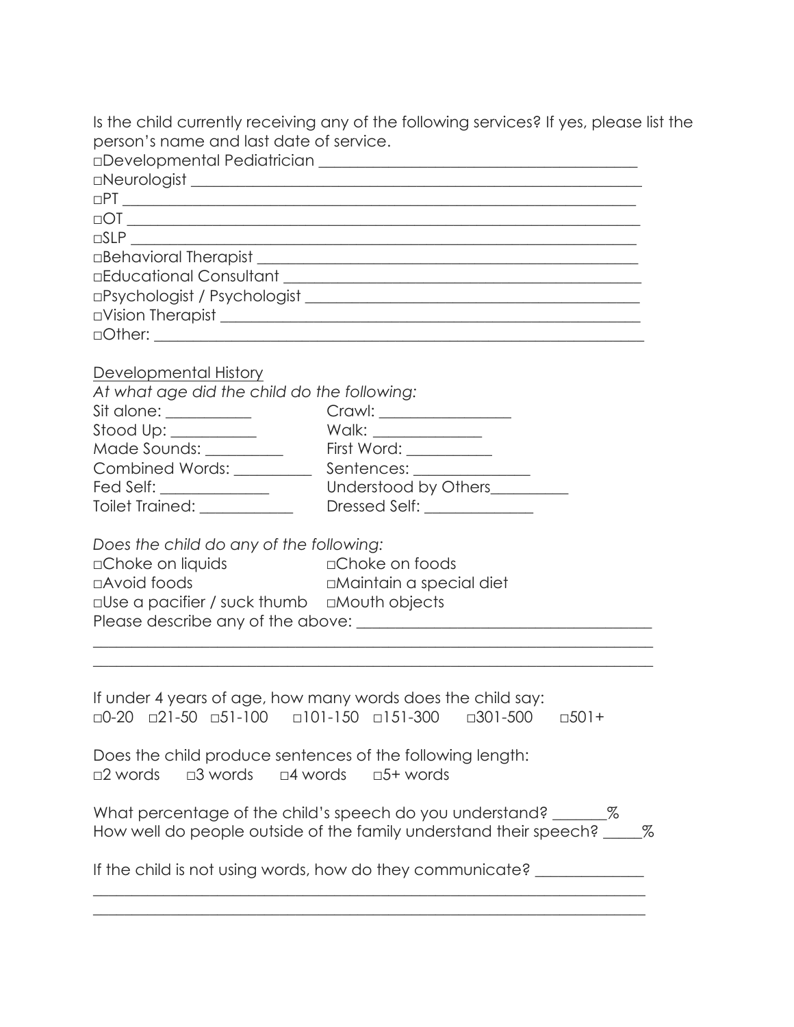Is the child currently receiving any of the following services? If yes, please list the person's name and last date of service.

|                                                             | $\Box \text{OT} \_\_\_\_\_\_ \text{C}$                                                                                                                                                                                                                                                                                                                               |
|-------------------------------------------------------------|----------------------------------------------------------------------------------------------------------------------------------------------------------------------------------------------------------------------------------------------------------------------------------------------------------------------------------------------------------------------|
|                                                             |                                                                                                                                                                                                                                                                                                                                                                      |
|                                                             |                                                                                                                                                                                                                                                                                                                                                                      |
|                                                             |                                                                                                                                                                                                                                                                                                                                                                      |
|                                                             |                                                                                                                                                                                                                                                                                                                                                                      |
|                                                             | $\Box$ Vision Therapist $\Box$                                                                                                                                                                                                                                                                                                                                       |
|                                                             | $\Box \text{Other:}\begin{tabular}{ l l } \hline \rule{0.2cm}{.01cm} \rule{0.2cm}{.01cm} \rule{0.2cm}{.01cm} \rule{0.2cm}{.01cm} \rule{0.2cm}{.01cm} \rule{0.2cm}{.01cm} \rule{0.2cm}{.01cm} \rule{0.2cm}{.01cm} \rule{0.2cm}{.01cm} \rule{0.2cm}{.01cm} \rule{0.2cm}{.01cm} \rule{0.2cm}{.01cm} \rule{0.2cm}{.01cm} \rule{0.2cm}{.01cm} \rule{0.2cm}{.01cm} \rule{$ |
|                                                             |                                                                                                                                                                                                                                                                                                                                                                      |
| Developmental History                                       |                                                                                                                                                                                                                                                                                                                                                                      |
| At what age did the child do the following:                 |                                                                                                                                                                                                                                                                                                                                                                      |
|                                                             |                                                                                                                                                                                                                                                                                                                                                                      |
| Made Sounds: __________                                     | First Word: ___________                                                                                                                                                                                                                                                                                                                                              |
| Combined Words: _________                                   | Sentences: Sentences:                                                                                                                                                                                                                                                                                                                                                |
| Fed Self: ______________                                    | Understood by Others_________                                                                                                                                                                                                                                                                                                                                        |
| Toilet Trained: ____________                                | Dressed Self: ______________                                                                                                                                                                                                                                                                                                                                         |
|                                                             |                                                                                                                                                                                                                                                                                                                                                                      |
| Does the child do any of the following:                     |                                                                                                                                                                                                                                                                                                                                                                      |
| □Choke on liquids □Choke on foods                           |                                                                                                                                                                                                                                                                                                                                                                      |
| $\Box$ Avoid foods                                          | □Maintain a special diet                                                                                                                                                                                                                                                                                                                                             |
| aUse a pacifier / suck thumb aMouth objects                 |                                                                                                                                                                                                                                                                                                                                                                      |
|                                                             |                                                                                                                                                                                                                                                                                                                                                                      |
|                                                             | ,我们也不能在这里的时候,我们也不能在这里的时候,我们也不能会在这里的时候,我们也不能会在这里的时候,我们也不能会在这里的时候,我们也不能会在这里的时候,我们也不                                                                                                                                                                                                                                                                                    |
|                                                             |                                                                                                                                                                                                                                                                                                                                                                      |
| If under 4 years of age, how many words does the child say: |                                                                                                                                                                                                                                                                                                                                                                      |
|                                                             | $\Box 0-20 \quad \Box 21-50 \quad \Box 51-100 \qquad \Box 101-150 \quad \Box 151-300 \qquad \Box 301-500 \qquad \Box 501+$                                                                                                                                                                                                                                           |
|                                                             |                                                                                                                                                                                                                                                                                                                                                                      |
| Does the child produce sentences of the following length:   |                                                                                                                                                                                                                                                                                                                                                                      |
| □2 words □3 words □4 words □5+ words                        |                                                                                                                                                                                                                                                                                                                                                                      |
|                                                             | What percentage of the child's speech do you understand? ________________________                                                                                                                                                                                                                                                                                    |
|                                                             | $\%$<br>How well do people outside of the family understand their speech?                                                                                                                                                                                                                                                                                            |
|                                                             |                                                                                                                                                                                                                                                                                                                                                                      |
|                                                             | If the child is not using words, how do they communicate?                                                                                                                                                                                                                                                                                                            |
|                                                             |                                                                                                                                                                                                                                                                                                                                                                      |
|                                                             |                                                                                                                                                                                                                                                                                                                                                                      |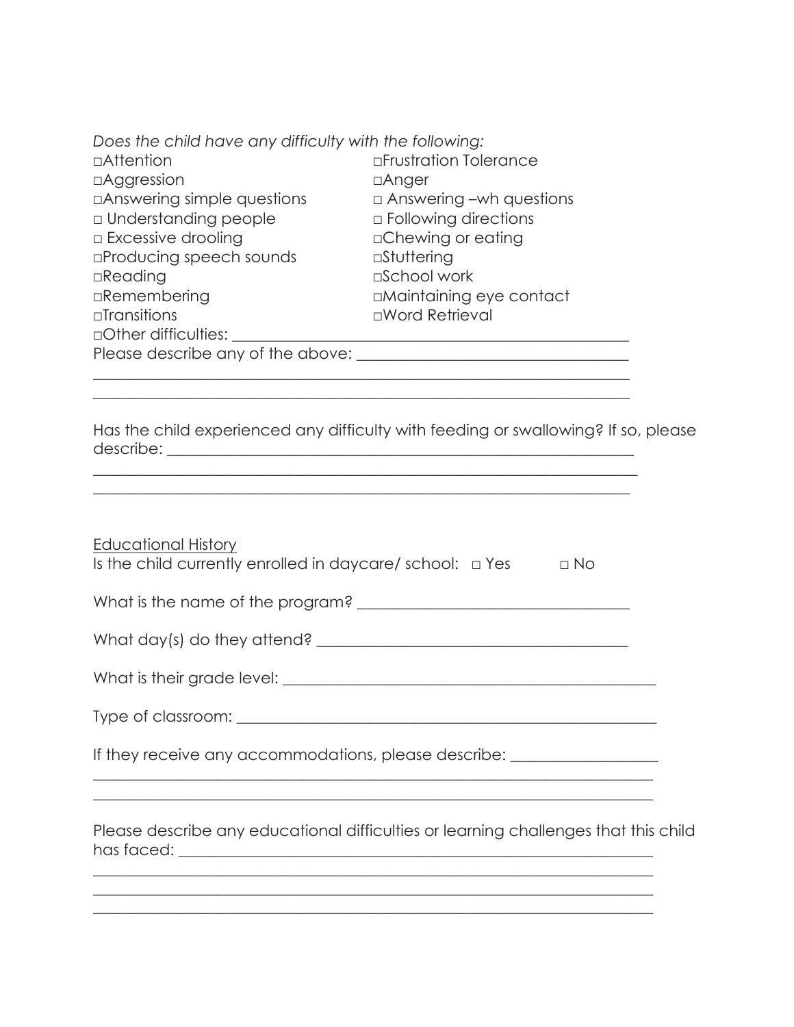| Does the child have any difficulty with the following:<br>□Attention<br>□Aggression<br>$\Box$ Answering simple questions<br>□ Understanding people<br>□ Excessive drooling<br>□Producing speech sounds<br>$\Box$ Reading<br>□Remembering<br>$\Box$ Transitions<br>$\Box$ Other difficulties: $\_\_$ | □Frustration Tolerance<br>□Anger<br>$\Box$ Answering -wh questions<br><b>D</b> Following directions<br>□Chewing or eating<br>□Stuttering<br>□School work<br>□Maintaining eye contact<br>□Word Retrieval |
|-----------------------------------------------------------------------------------------------------------------------------------------------------------------------------------------------------------------------------------------------------------------------------------------------------|---------------------------------------------------------------------------------------------------------------------------------------------------------------------------------------------------------|
|                                                                                                                                                                                                                                                                                                     |                                                                                                                                                                                                         |
|                                                                                                                                                                                                                                                                                                     | Has the child experienced any difficulty with feeding or swallowing? If so, please                                                                                                                      |
|                                                                                                                                                                                                                                                                                                     |                                                                                                                                                                                                         |
| <b>Educational History</b><br>Is the child currently enrolled in daycare/ school: $\Box$ Yes $\Box$ No                                                                                                                                                                                              |                                                                                                                                                                                                         |
|                                                                                                                                                                                                                                                                                                     |                                                                                                                                                                                                         |
|                                                                                                                                                                                                                                                                                                     |                                                                                                                                                                                                         |
|                                                                                                                                                                                                                                                                                                     |                                                                                                                                                                                                         |
|                                                                                                                                                                                                                                                                                                     |                                                                                                                                                                                                         |
|                                                                                                                                                                                                                                                                                                     | If they receive any accommodations, please describe: ___________________________                                                                                                                        |
|                                                                                                                                                                                                                                                                                                     | <u> 1989 - Johann Stoff, amerikansk politiker (d. 1989)</u><br>Please describe any educational difficulties or learning challenges that this child                                                      |
|                                                                                                                                                                                                                                                                                                     | <u> 1989 - Johann Stoff, amerikansk politiker (d. 1989)</u>                                                                                                                                             |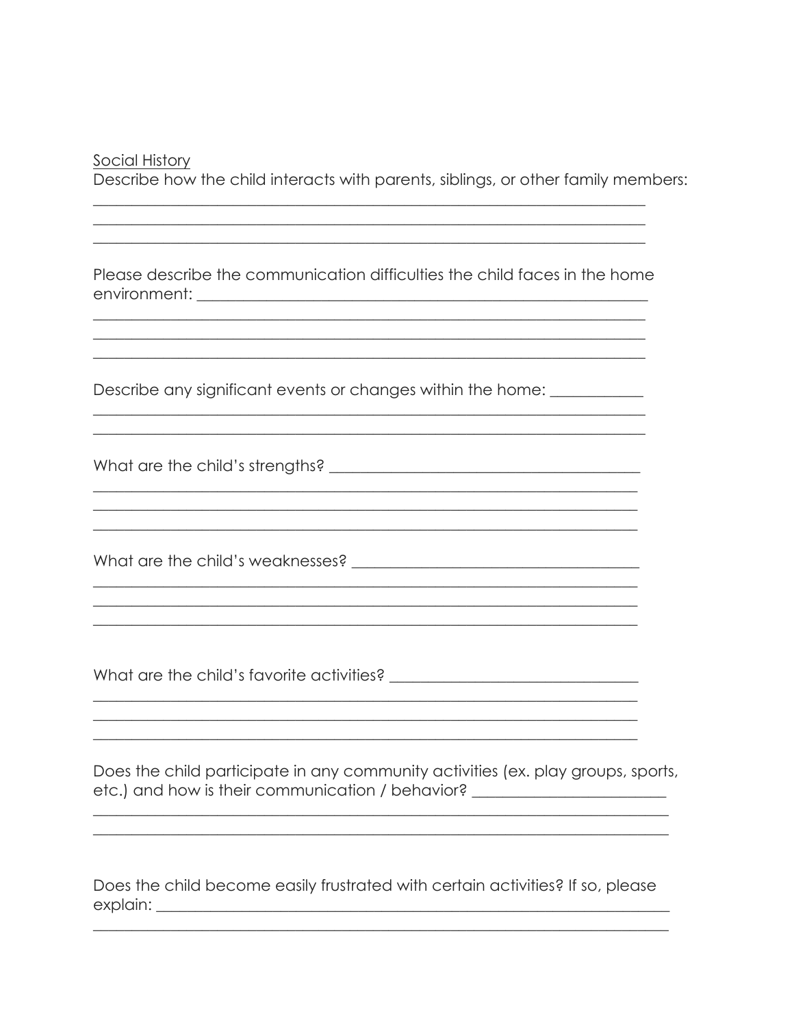Social History Describe how the child interacts with parents, siblings, or other family members:

Please describe the communication difficulties the child faces in the home environment: environment and the series of the series of the series of the series of the series of the series

Describe any significant events or changes within the home: \_\_\_\_\_\_\_\_\_\_\_\_\_\_

What are the child's favorite activities?<br>
<u>Letting and the child's favorite activities?</u>

Does the child participate in any community activities (ex. play groups, sports, etc.) and how is their communication / behavior? \_\_\_\_\_\_\_\_\_\_\_\_\_\_\_\_\_\_\_\_\_\_\_\_\_\_\_\_\_\_\_

Does the child become easily frustrated with certain activities? If so, please